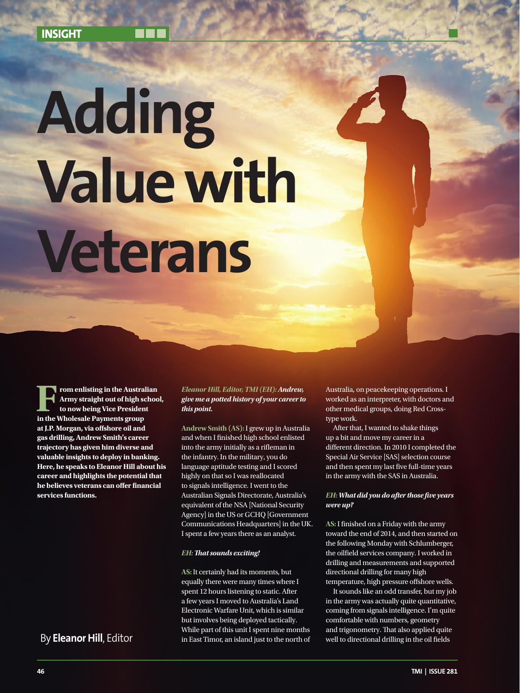# **Adding Value with Veterans**

**From enlisting in the Australian Army straight out of high schoot to now being Vice President in the Wholesale Payments group**  $\frac{1}{2}$ **Army straight out of high school, to now being Vice President at J.P. Morgan, via offshore oil and gas drilling, Andrew Smith's career trajectory has given him diverse and valuable insights to deploy in banking. Here, he speaks to Eleanor Hill about his career and highlights the potential that he believes veterans can offer financial services functions.**

*Eleanor Hill, Editor, TMI (EH): Andrew, give me a potted history of your career to this point.*

**Andrew Smith (AS):**I grew up in Australia and when I finished high school enlisted into the army initially as a rifleman in the infantry. In the military, you do language aptitude testing and I scored highly on that so I was reallocated to signals intelligence. I went to the Australian Signals Directorate, Australia's equivalent of the NSA [National Security Agency] in the US or GCHQ [Government Communications Headquarters] in the UK. I spent a few years there as an analyst.

#### *EH: That sounds exciting!*

**AS:** It certainly had its moments, but equally there were many times where I spent 12 hours listening to static. After a few years I moved to Australia's Land Electronic Warfare Unit, which is similar but involves being deployed tactically. While part of this unit I spent nine months By Eleanor Hill, Editor **well as the East Timor, an island just** to the north of well to directional drilling in the oil fields

Australia, on peacekeeping operations. I worked as an interpreter, with doctors and other medical groups, doing Red Crosstype work.

After that, I wanted to shake things up a bit and move my career in a different direction. In 2010 I completed the Special Air Service [SAS] selection course and then spent my last five full-time years in the army with the SAS in Australia.

## *EH: What did you do after those five years were up?*

**AS:** I finished on a Friday with the army toward the end of 2014, and then started on the following Monday with Schlumberger, the oilfield services company. I worked in drilling and measurements and supported directional drilling for many high temperature, high pressure offshore wells.

It sounds like an odd transfer, but my job in the army was actually quite quantitative, coming from signals intelligence. I'm quite comfortable with numbers, geometry and trigonometry. That also applied quite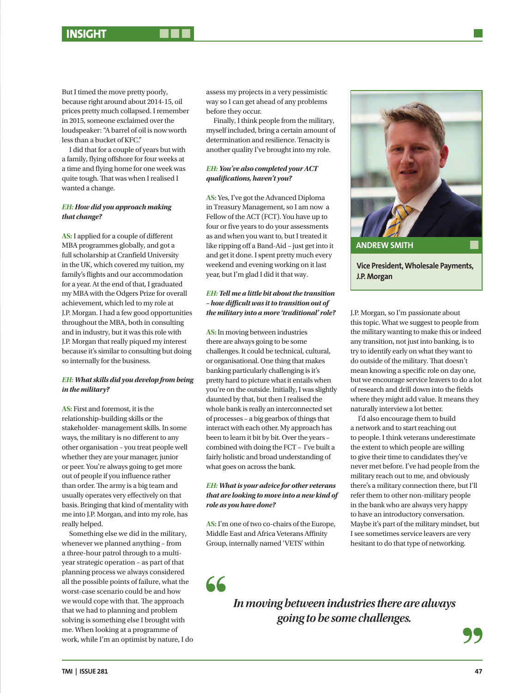But I timed the move pretty poorly, because right around about 2014-15, oil prices pretty much collapsed. I remember in 2015, someone exclaimed over the loudspeaker: "A barrel of oil is now worth less than a bucket of KFC."

I did that for a couple of years but with a family, flying offshore for four weeks at a time and flying home for one week was quite tough. That was when I realised I wanted a change.

# *EH: How did you approach making that change?*

**AS:** I applied for a couple of different MBA programmes globally, and got a full scholarship at Cranfield University in the UK, which covered my tuition, my family's flights and our accommodation for a year. At the end of that, I graduated my MBA with the Odgers Prize for overall achievement, which led to my role at J.P. Morgan. I had a few good opportunities throughout the MBA, both in consulting and in industry, but it was this role with J.P. Morgan that really piqued my interest because it's similar to consulting but doing so internally for the business.

#### *EH: What skills did you develop from being in the military?*

**AS:** First and foremost, it is the relationship-building skills or the stakeholder- management skills. In some ways, the military is no different to any other organisation – you treat people well whether they are your manager, junior or peer. You're always going to get more out of people if you influence rather than order. The army is a big team and usually operates very effectively on that basis. Bringing that kind of mentality with me into J.P. Morgan, and into my role, has really helped.

Something else we did in the military, whenever we planned anything – from a three-hour patrol through to a multiyear strategic operation – as part of that planning process we always considered all the possible points of failure, what the worst-case scenario could be and how we would cope with that. The approach that we had to planning and problem solving is something else I brought with me. When looking at a programme of work, while I'm an optimist by nature, I do assess my projects in a very pessimistic way so I can get ahead of any problems before they occur.

Finally, I think people from the military, myself included, bring a certain amount of determination and resilience. Tenacity is another quality I've brought into my role.

#### *EH: You've also completed your ACT qualifications, haven't you?*

**AS:** Yes, I've got the Advanced Diploma in Treasury Management, so I am now a Fellow of the ACT (FCT). You have up to four or five years to do your assessments as and when you want to, but I treated it like ripping off a Band-Aid – just get into it and get it done. I spent pretty much every weekend and evening working on it last year, but I'm glad I did it that way.

# *EH: Tell me a little bit about the transition – how difficult was it to transition out of the military into a more 'traditional' role?*

**AS:** In moving between industries there are always going to be some challenges. It could be technical, cultural, or organisational. One thing that makes banking particularly challenging is it's pretty hard to picture what it entails when you're on the outside. Initially, I was slightly daunted by that, but then I realised the whole bank is really an interconnected set of processes – a big gearbox of things that interact with each other. My approach has been to learn it bit by bit. Over the years – combined with doing the FCT – I've built a fairly holistic and broad understanding of what goes on across the bank.

## *EH: What is your advice for other veterans that are looking to move into a new kind of role as you have done?*

**AS:** I'm one of two co-chairs of the Europe, Middle East and Africa Veterans Affinity Group, internally named 'VETS' within

66



J.P. Morgan, so I'm passionate about this topic. What we suggest to people from the military wanting to make this or indeed any transition, not just into banking, is to try to identify early on what they want to do outside of the military. That doesn't mean knowing a specific role on day one, but we encourage service leavers to do a lot of research and drill down into the fields where they might add value. It means they naturally interview a lot better.

I'd also encourage them to build a network and to start reaching out to people. I think veterans underestimate the extent to which people are willing to give their time to candidates they've never met before. I've had people from the military reach out to me, and obviously there's a military connection there, but I'll refer them to other non-military people in the bank who are always very happy to have an introductory conversation. Maybe it's part of the military mindset, but I see sometimes service leavers are very hesitant to do that type of networking.

*In moving between industries there are always going to be some challenges.*